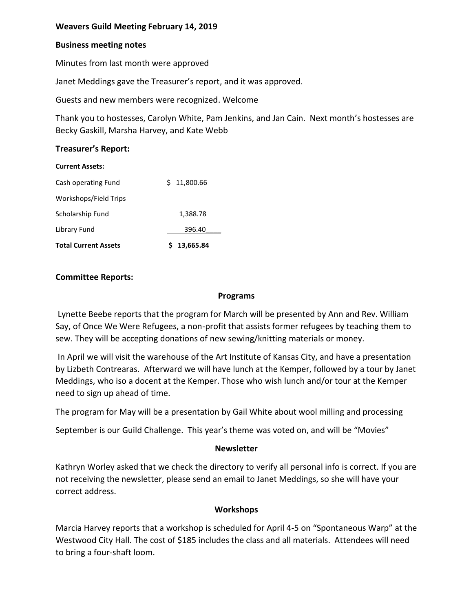## **Weavers Guild Meeting February 14, 2019**

#### **Business meeting notes**

Minutes from last month were approved

Janet Meddings gave the Treasurer's report, and it was approved.

Guests and new members were recognized. Welcome

Thank you to hostesses, Carolyn White, Pam Jenkins, and Jan Cain. Next month's hostesses are Becky Gaskill, Marsha Harvey, and Kate Webb

#### **Treasurer's Report:**

| <b>Current Assets:</b>      |                 |
|-----------------------------|-----------------|
| Cash operating Fund         | 11,800.66<br>S. |
| Workshops/Field Trips       |                 |
| Scholarship Fund            | 1,388.78        |
| Library Fund                | 396.40          |
| <b>Total Current Assets</b> | 13,665.84       |

## **Committee Reports:**

#### **Programs**

Lynette Beebe reports that the program for March will be presented by Ann and Rev. William Say, of Once We Were Refugees, a non-profit that assists former refugees by teaching them to sew. They will be accepting donations of new sewing/knitting materials or money.

In April we will visit the warehouse of the Art Institute of Kansas City, and have a presentation by Lizbeth Contrearas. Afterward we will have lunch at the Kemper, followed by a tour by Janet Meddings, who iso a docent at the Kemper. Those who wish lunch and/or tour at the Kemper need to sign up ahead of time.

The program for May will be a presentation by Gail White about wool milling and processing

September is our Guild Challenge. This year's theme was voted on, and will be "Movies"

#### **Newsletter**

Kathryn Worley asked that we check the directory to verify all personal info is correct. If you are not receiving the newsletter, please send an email to Janet Meddings, so she will have your correct address.

## **Workshops**

Marcia Harvey reports that a workshop is scheduled for April 4-5 on "Spontaneous Warp" at the Westwood City Hall. The cost of \$185 includes the class and all materials. Attendees will need to bring a four-shaft loom.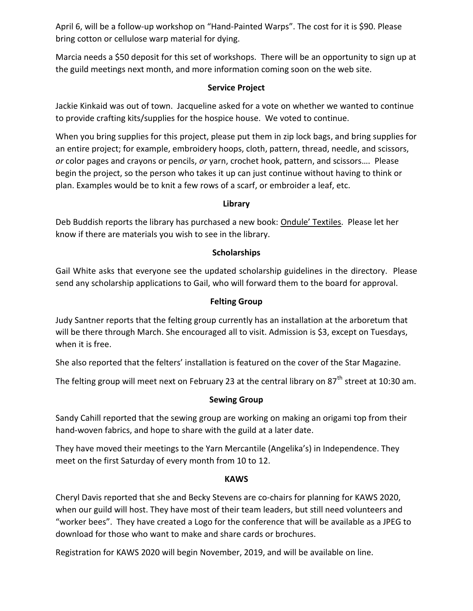April 6, will be a follow-up workshop on "Hand-Painted Warps". The cost for it is \$90. Please bring cotton or cellulose warp material for dying.

Marcia needs a \$50 deposit for this set of workshops. There will be an opportunity to sign up at the guild meetings next month, and more information coming soon on the web site.

# **Service Project**

Jackie Kinkaid was out of town. Jacqueline asked for a vote on whether we wanted to continue to provide crafting kits/supplies for the hospice house. We voted to continue.

When you bring supplies for this project, please put them in zip lock bags, and bring supplies for an entire project; for example, embroidery hoops, cloth, pattern, thread, needle, and scissors, *or* color pages and crayons or pencils, *or* yarn, crochet hook, pattern, and scissors…. Please begin the project, so the person who takes it up can just continue without having to think or plan. Examples would be to knit a few rows of a scarf, or embroider a leaf, etc.

## **Library**

Deb Buddish reports the library has purchased a new book: Ondule' Textiles. Please let her know if there are materials you wish to see in the library.

# **Scholarships**

Gail White asks that everyone see the updated scholarship guidelines in the directory. Please send any scholarship applications to Gail, who will forward them to the board for approval.

# **Felting Group**

Judy Santner reports that the felting group currently has an installation at the arboretum that will be there through March. She encouraged all to visit. Admission is \$3, except on Tuesdays, when it is free.

She also reported that the felters' installation is featured on the cover of the Star Magazine.

The felting group will meet next on February 23 at the central library on 87<sup>th</sup> street at 10:30 am.

# **Sewing Group**

Sandy Cahill reported that the sewing group are working on making an origami top from their hand-woven fabrics, and hope to share with the guild at a later date.

They have moved their meetings to the Yarn Mercantile (Angelika's) in Independence. They meet on the first Saturday of every month from 10 to 12.

# **KAWS**

Cheryl Davis reported that she and Becky Stevens are co-chairs for planning for KAWS 2020, when our guild will host. They have most of their team leaders, but still need volunteers and "worker bees". They have created a Logo for the conference that will be available as a JPEG to download for those who want to make and share cards or brochures.

Registration for KAWS 2020 will begin November, 2019, and will be available on line.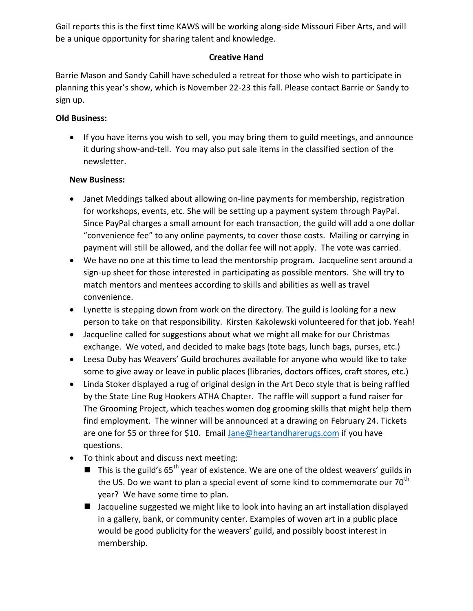Gail reports this is the first time KAWS will be working along-side Missouri Fiber Arts, and will be a unique opportunity for sharing talent and knowledge.

# **Creative Hand**

Barrie Mason and Sandy Cahill have scheduled a retreat for those who wish to participate in planning this year's show, which is November 22-23 this fall. Please contact Barrie or Sandy to sign up.

## **Old Business:**

• If you have items you wish to sell, you may bring them to guild meetings, and announce it during show-and-tell. You may also put sale items in the classified section of the newsletter.

# **New Business:**

- Janet Meddings talked about allowing on-line payments for membership, registration for workshops, events, etc. She will be setting up a payment system through PayPal. Since PayPal charges a small amount for each transaction, the guild will add a one dollar "convenience fee" to any online payments, to cover those costs. Mailing or carrying in payment will still be allowed, and the dollar fee will not apply. The vote was carried.
- We have no one at this time to lead the mentorship program. Jacqueline sent around a sign-up sheet for those interested in participating as possible mentors. She will try to match mentors and mentees according to skills and abilities as well as travel convenience.
- Lynette is stepping down from work on the directory. The guild is looking for a new person to take on that responsibility. Kirsten Kakolewski volunteered for that job. Yeah!
- Jacqueline called for suggestions about what we might all make for our Christmas exchange. We voted, and decided to make bags (tote bags, lunch bags, purses, etc.)
- Leesa Duby has Weavers' Guild brochures available for anyone who would like to take some to give away or leave in public places (libraries, doctors offices, craft stores, etc.)
- Linda Stoker displayed a rug of original design in the Art Deco style that is being raffled by the State Line Rug Hookers ATHA Chapter. The raffle will support a fund raiser for The Grooming Project, which teaches women dog grooming skills that might help them find employment. The winner will be announced at a drawing on February 24. Tickets are one for \$5 or three for \$10. Email [Jane@heartandharerugs.com](mailto:Jane@heartandharerugs.com) if you have questions.
- To think about and discuss next meeting:
	- $\blacksquare$  This is the guild's 65<sup>th</sup> year of existence. We are one of the oldest weavers' guilds in the US. Do we want to plan a special event of some kind to commemorate our  $70<sup>th</sup>$ year? We have some time to plan.
	- Jacqueline suggested we might like to look into having an art installation displayed in a gallery, bank, or community center. Examples of woven art in a public place would be good publicity for the weavers' guild, and possibly boost interest in membership.